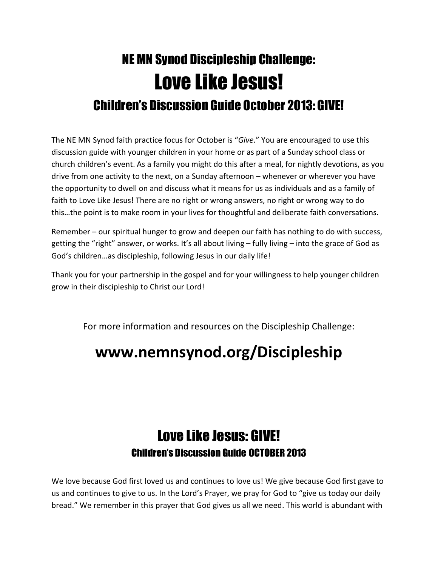## NE MN Synod Discipleship Challenge: Love Like Jesus! Children's Discussion Guide October 2013: GIVE!

The NE MN Synod faith practice focus for October is "Give." You are encouraged to use this discussion guide with younger children in your home or as part of a Sunday school class or church children's event. As a family you might do this after a meal, for nightly devotions, as you drive from one activity to the next, on a Sunday afternoon – whenever or wherever you have the opportunity to dwell on and discuss what it means for us as individuals and as a family of faith to Love Like Jesus! There are no right or wrong answers, no right or wrong way to do this…the point is to make room in your lives for thoughtful and deliberate faith conversations.

Remember – our spiritual hunger to grow and deepen our faith has nothing to do with success, getting the "right" answer, or works. It's all about living – fully living – into the grace of God as God's children…as discipleship, following Jesus in our daily life!

Thank you for your partnership in the gospel and for your willingness to help younger children grow in their discipleship to Christ our Lord!

For more information and resources on the Discipleship Challenge:

## www.nemnsynod.org/Discipleship

## Love Like Jesus: GIVE! Children's Discussion Guide OCTOBER 2013

We love because God first loved us and continues to love us! We give because God first gave to us and continues to give to us. In the Lord's Prayer, we pray for God to "give us today our daily bread." We remember in this prayer that God gives us all we need. This world is abundant with